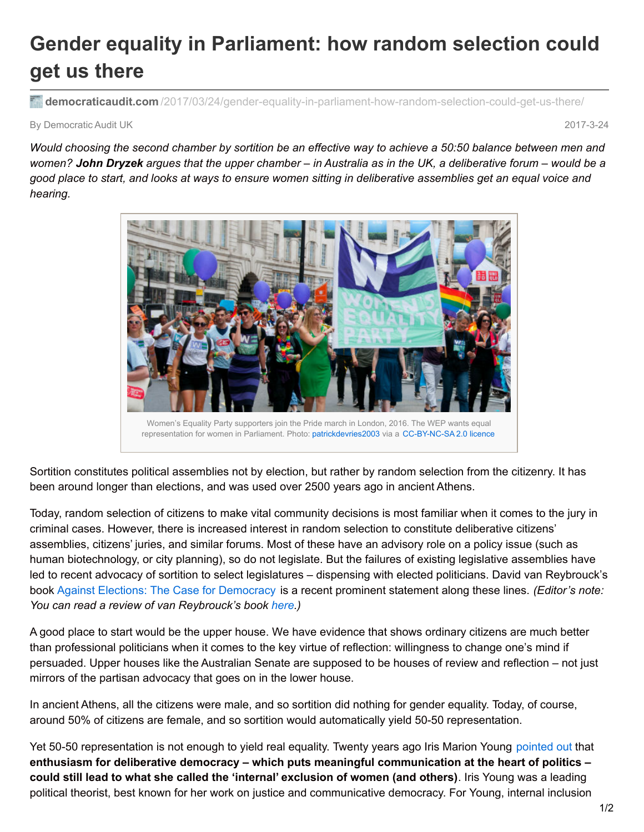## **Gender equality in Parliament: how random selection could get us there**

**democraticaudit.com** [/2017/03/24/gender-equality-in-parliament-how-random-selection-could-get-us-there/](http://www.democraticaudit.com/2017/03/24/gender-equality-in-parliament-how-random-selection-could-get-us-there/)

By Democratic Audit UK 2017-3-24

Would choosing the second chamber by sortition be an effective way to achieve a 50:50 balance between men and women? John Dryzek argues that the upper chamber - in Australia as in the UK, a deliberative forum - would be a good place to start, and looks at ways to ensure women sitting in deliberative assemblies get an equal voice and *hearing.*



Sortition constitutes political assemblies not by election, but rather by random selection from the citizenry. It has been around longer than elections, and was used over 2500 years ago in ancient Athens.

Today, random selection of citizens to make vital community decisions is most familiar when it comes to the jury in criminal cases. However, there is increased interest in random selection to constitute deliberative citizens' assemblies, citizens' juries, and similar forums. Most of these have an advisory role on a policy issue (such as human biotechnology, or city planning), so do not legislate. But the failures of existing legislative assemblies have led to recent advocacy of sortition to select legislatures – dispensing with elected politicians. David van Reybrouck's book Against Elections: The Case for [Democracy](https://penguin.com.au/books/against-elections-9781847924223) is a recent prominent statement along these lines. *(Editor's note: You can read a review of van Reybrouck's book [here](http://www.democraticaudit.com/2016/10/30/book-review-against-elections-the-case-for-democracy-by-david-van-reybrouck/).)*

A good place to start would be the upper house. We have evidence that shows ordinary citizens are much better than professional politicians when it comes to the key virtue of reflection: willingness to change one's mind if persuaded. Upper houses like the Australian Senate are supposed to be houses of review and reflection – not just mirrors of the partisan advocacy that goes on in the lower house.

In ancient Athens, all the citizens were male, and so sortition did nothing for gender equality. Today, of course, around 50% of citizens are female, and so sortition would automatically yield 50-50 representation.

Yet 50-50 representation is not enough to yield real equality. Twenty years ago Iris Marion Young [pointed](http://press.princeton.edu/titles/9562.html) out that **enthusiasm for deliberative democracy – which puts meaningful communication at the heart of politics – could still lead to what she called the 'internal' exclusion of women (and others)**. Iris Young was a leading political theorist, best known for her work on justice and communicative democracy. For Young, internal inclusion